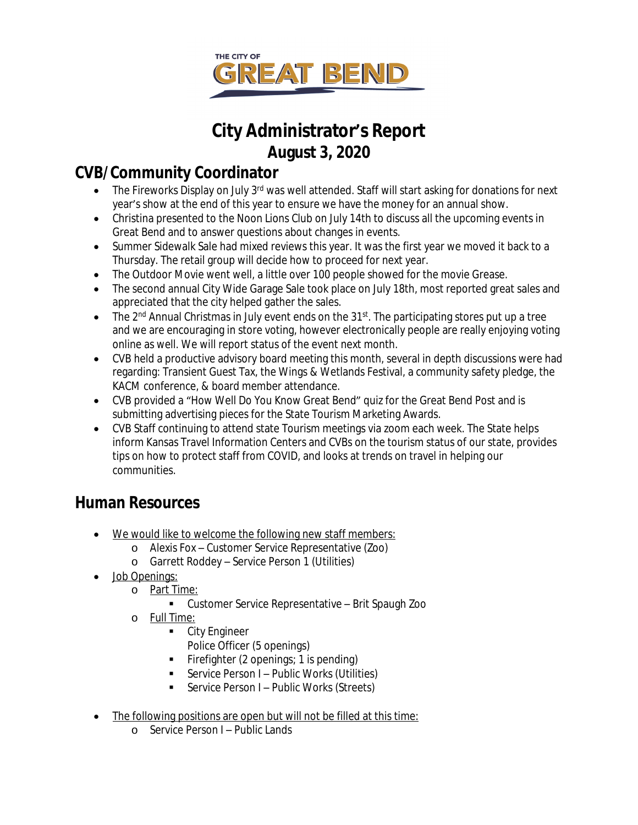

# **City Administrator's Report August 3, 2020**

### **CVB/Community Coordinator**

- The Fireworks Display on July 3<sup>rd</sup> was well attended. Staff will start asking for donations for next year's show at the end of this year to ensure we have the money for an annual show.
- Christina presented to the Noon Lions Club on July 14th to discuss all the upcoming events in Great Bend and to answer questions about changes in events.
- Summer Sidewalk Sale had mixed reviews this year. It was the first year we moved it back to a Thursday. The retail group will decide how to proceed for next year.
- The Outdoor Movie went well, a little over 100 people showed for the movie Grease.
- The second annual City Wide Garage Sale took place on July 18th, most reported great sales and appreciated that the city helped gather the sales.
- $\bullet$  The 2<sup>nd</sup> Annual Christmas in July event ends on the 31<sup>st</sup>. The participating stores put up a tree and we are encouraging in store voting, however electronically people are really enjoying voting online as well. We will report status of the event next month.
- CVB held a productive advisory board meeting this month, several in depth discussions were had regarding: Transient Guest Tax, the Wings & Wetlands Festival, a community safety pledge, the KACM conference, & board member attendance.
- CVB provided a "How Well Do You Know Great Bend" quiz for the Great Bend Post and is submitting advertising pieces for the State Tourism Marketing Awards.
- CVB Staff continuing to attend state Tourism meetings via zoom each week. The State helps inform Kansas Travel Information Centers and CVBs on the tourism status of our state, provides tips on how to protect staff from COVID, and looks at trends on travel in helping our communities.

## **Human Resources**

- We would like to welcome the following new staff members:
	- o Alexis Fox Customer Service Representative (Zoo)
	- o Garrett Roddey Service Person 1 (Utilities)
- Job Openings:
	- o Part Time:
		- Customer Service Representative Brit Spaugh Zoo
	- o Full Time:
		- **City Engineer** 
			- Police Officer (5 openings)
		- Firefighter (2 openings; 1 is pending)
		- Service Person I Public Works (Utilities)
		- Service Person I Public Works (Streets)
- The following positions are open but will not be filled at this time:
	- o Service Person I Public Lands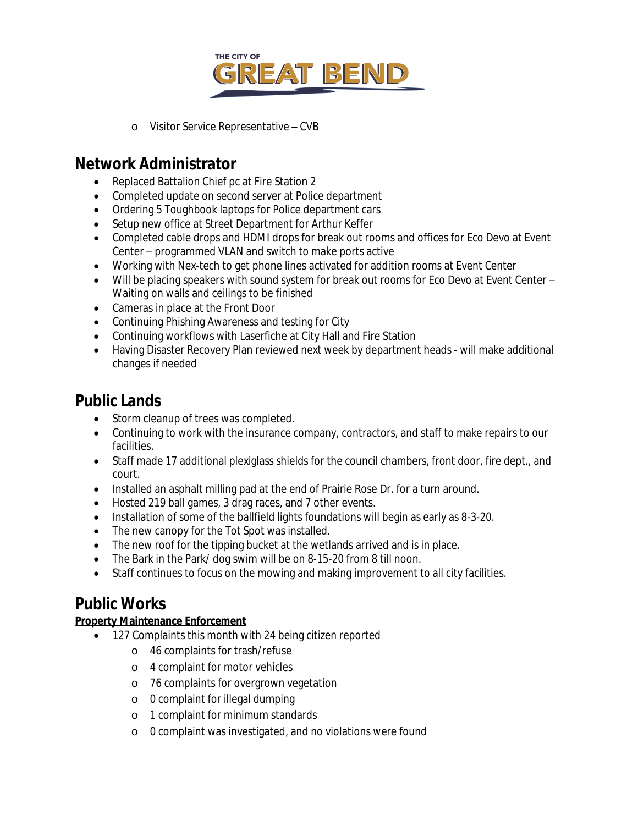

o Visitor Service Representative – CVB

### **Network Administrator**

- Replaced Battalion Chief pc at Fire Station 2
- Completed update on second server at Police department
- Ordering 5 Toughbook laptops for Police department cars
- Setup new office at Street Department for Arthur Keffer
- Completed cable drops and HDMI drops for break out rooms and offices for Eco Devo at Event Center – programmed VLAN and switch to make ports active
- Working with Nex-tech to get phone lines activated for addition rooms at Event Center
- Will be placing speakers with sound system for break out rooms for Eco Devo at Event Center Waiting on walls and ceilings to be finished
- Cameras in place at the Front Door
- Continuing Phishing Awareness and testing for City
- Continuing workflows with Laserfiche at City Hall and Fire Station
- Having Disaster Recovery Plan reviewed next week by department heads will make additional changes if needed

### **Public Lands**

- Storm cleanup of trees was completed.
- Continuing to work with the insurance company, contractors, and staff to make repairs to our facilities.
- Staff made 17 additional plexiglass shields for the council chambers, front door, fire dept., and court.
- Installed an asphalt milling pad at the end of Prairie Rose Dr. for a turn around.
- Hosted 219 ball games, 3 drag races, and 7 other events.
- Installation of some of the ballfield lights foundations will begin as early as 8-3-20.
- The new canopy for the Tot Spot was installed.
- The new roof for the tipping bucket at the wetlands arrived and is in place.
- The Bark in the Park/ dog swim will be on 8-15-20 from 8 till noon.
- Staff continues to focus on the mowing and making improvement to all city facilities.

### **Public Works**

#### **Property Maintenance Enforcement**

- 127 Complaints this month with 24 being citizen reported
	- o 46 complaints for trash/refuse
	- o 4 complaint for motor vehicles
	- o 76 complaints for overgrown vegetation
	- o 0 complaint for illegal dumping
	- o 1 complaint for minimum standards
	- o 0 complaint was investigated, and no violations were found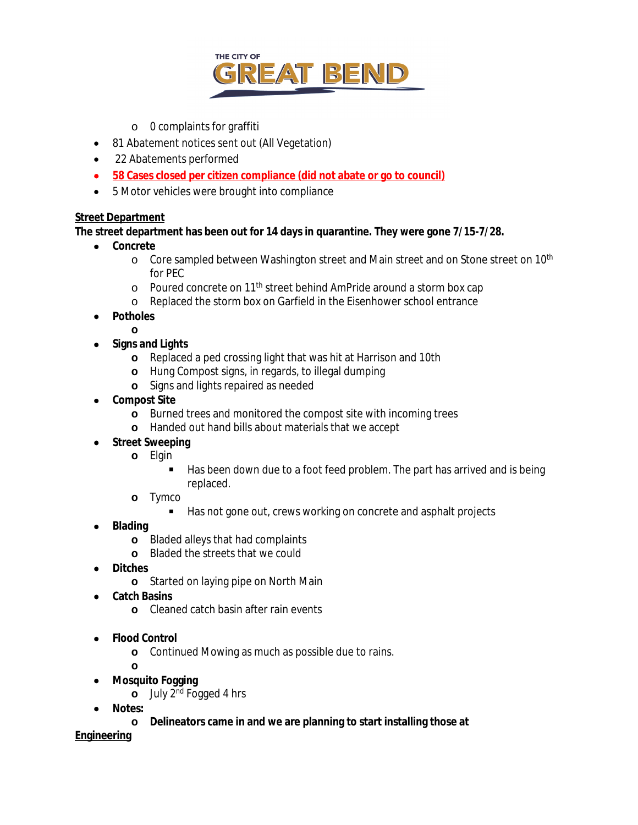

- o 0 complaints for graffiti
- 81 Abatement notices sent out (All Vegetation)
- 22 Abatements performed
- **58 Cases closed per citizen compliance (did not abate or go to council)**
- 5 Motor vehicles were brought into compliance

#### **Street Department**

**The street department has been out for 14 days in quarantine. They were gone 7/15-7/28.**

- **Concrete**
	- o Core sampled between Washington street and Main street and on Stone street on 10<sup>th</sup> for PEC
	- o Poured concrete on 11th street behind AmPride around a storm box cap
	- o Replaced the storm box on Garfield in the Eisenhower school entrance
- **Potholes**
	-
- **o Signs and Lights**
	- **o** Replaced a ped crossing light that was hit at Harrison and 10th
	- **o** Hung Compost signs, in regards, to illegal dumping
	- **o** Signs and lights repaired as needed
- **Compost Site**
	- **o** Burned trees and monitored the compost site with incoming trees
	- **o** Handed out hand bills about materials that we accept
- **•** Street Sweeping
	- **o** Elgin
		- Has been down due to a foot feed problem. The part has arrived and is being replaced.
	- **o** Tymco
		- Has not gone out, crews working on concrete and asphalt projects
- **Blading**
	- **o** Bladed alleys that had complaints
	- **o** Bladed the streets that we could
- **Ditches**
	- **o** Started on laying pipe on North Main
- **Catch Basins**
	- **o** Cleaned catch basin after rain events
- **Flood Control**
	- **o** Continued Mowing as much as possible due to rains.
	- **o**
- **Mosquito Fogging**
	- **o** July 2nd Fogged 4 hrs
- **Notes:**
	- **o Delineators came in and we are planning to start installing those at**

**Engineering**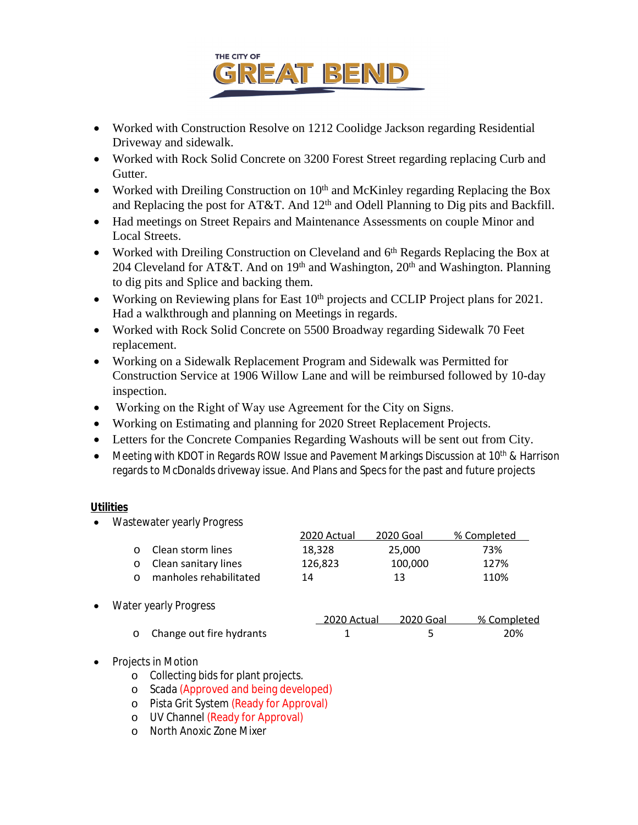

- Worked with Construction Resolve on 1212 Coolidge Jackson regarding Residential Driveway and sidewalk.
- Worked with Rock Solid Concrete on 3200 Forest Street regarding replacing Curb and Gutter.
- Worked with Dreiling Construction on 10<sup>th</sup> and McKinley regarding Replacing the Box and Replacing the post for AT&T. And 12<sup>th</sup> and Odell Planning to Dig pits and Backfill.
- Had meetings on Street Repairs and Maintenance Assessments on couple Minor and Local Streets.
- Worked with Dreiling Construction on Cleveland and  $6<sup>th</sup>$  Regards Replacing the Box at 204 Cleveland for AT&T. And on 19<sup>th</sup> and Washington, 20<sup>th</sup> and Washington. Planning to dig pits and Splice and backing them.
- Working on Reviewing plans for East  $10<sup>th</sup>$  projects and CCLIP Project plans for 2021. Had a walkthrough and planning on Meetings in regards.
- Worked with Rock Solid Concrete on 5500 Broadway regarding Sidewalk 70 Feet replacement.
- Working on a Sidewalk Replacement Program and Sidewalk was Permitted for Construction Service at 1906 Willow Lane and will be reimbursed followed by 10-day inspection.
- Working on the Right of Way use Agreement for the City on Signs.
- Working on Estimating and planning for 2020 Street Replacement Projects.
- Letters for the Concrete Companies Regarding Washouts will be sent out from City.
- Meeting with KDOT in Regards ROW Issue and Pavement Markings Discussion at 10<sup>th</sup> & Harrison regards to McDonalds driveway issue. And Plans and Specs for the past and future projects

#### **Utilities**

• Wastewater yearly Progress

|          |                            | 2020 Actual | 2020 Goal | % Completed |
|----------|----------------------------|-------------|-----------|-------------|
|          | <b>O</b> Clean storm lines | 18.328      | 25.000    | 73%         |
|          | o Clean sanitary lines     | 126.823     | 100.000   | 127%        |
| $\Omega$ | manholes rehabilitated     | 14          | 13        | 110%        |

Water yearly Progress

|                            | 2020 Actual | 2020 Goal | % Completed |
|----------------------------|-------------|-----------|-------------|
| o Change out fire hydrants |             |           | 20%         |

- Projects in Motion
	- o Collecting bids for plant projects.
	- o Scada (Approved and being developed)
	- o Pista Grit System (Ready for Approval)
	- o UV Channel (Ready for Approval)
	- o North Anoxic Zone Mixer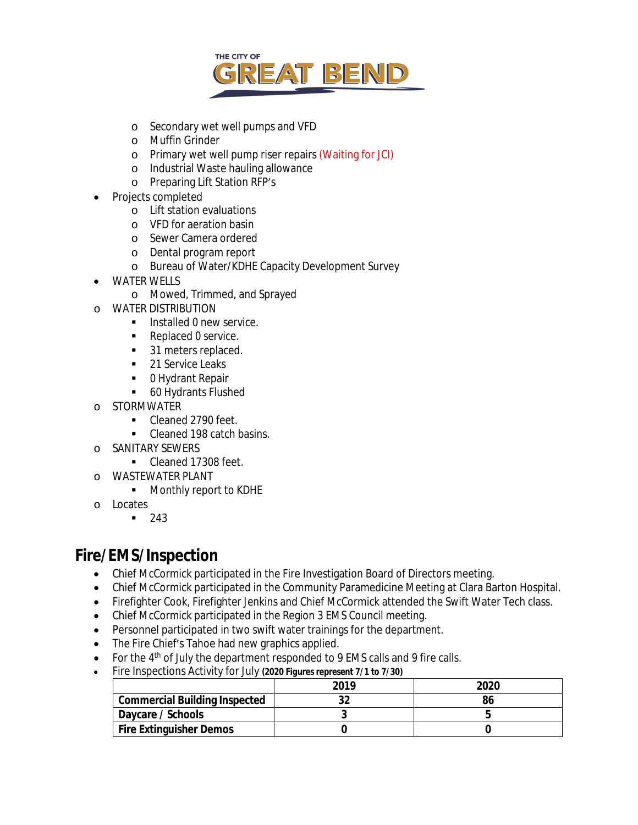

- o Secondary wet well pumps and VFD
- o Muffin Grinder
- o Primary wet well pump riser repairs (Waiting for JCI)
- o Industrial Waste hauling allowance
- o Preparing Lift Station RFP's
- Projects completed
	- o Lift station evaluations
	- o VFD for aeration basin
	- o Sewer Camera ordered
	- o Dental program report
	- o Bureau of Water/KDHE Capacity Development Survey
- WATER WELLS
	- o Mowed, Trimmed, and Sprayed
- o WATER DISTRIBUTION
	- **Installed 0 new service.**
	- Replaced 0 service.
	- 31 meters replaced.
	- **21 Service Leaks**
	- 0 Hydrant Repair
	- **60 Hydrants Flushed**
- o STORMWATER
	- Cleaned 2790 feet.
	- Cleaned 198 catch basins.
- o SANITARY SEWERS
	- Cleaned 17308 feet.
- o WASTEWATER PLANT
	- **Monthly report to KDHE**
- o Locates
	- $-243$

### **Fire/EMS/Inspection**

- Chief McCormick participated in the Fire Investigation Board of Directors meeting.
- Chief McCormick participated in the Community Paramedicine Meeting at Clara Barton Hospital.
- Firefighter Cook, Firefighter Jenkins and Chief McCormick attended the Swift Water Tech class.
- Chief McCormick participated in the Region 3 EMS Council meeting.
- Personnel participated in two swift water trainings for the department.
- The Fire Chief's Tahoe had new graphics applied.
- For the  $4<sup>th</sup>$  of July the department responded to 9 EMS calls and 9 fire calls.
- Fire Inspections Activity for July *(2020 Figures represent 7/1 to 7/30)*

|                                      | 2019 | 2020 |
|--------------------------------------|------|------|
| <b>Commercial Building Inspected</b> |      |      |
| Daycare / Schools                    |      |      |
| Fire Extinguisher Demos              |      |      |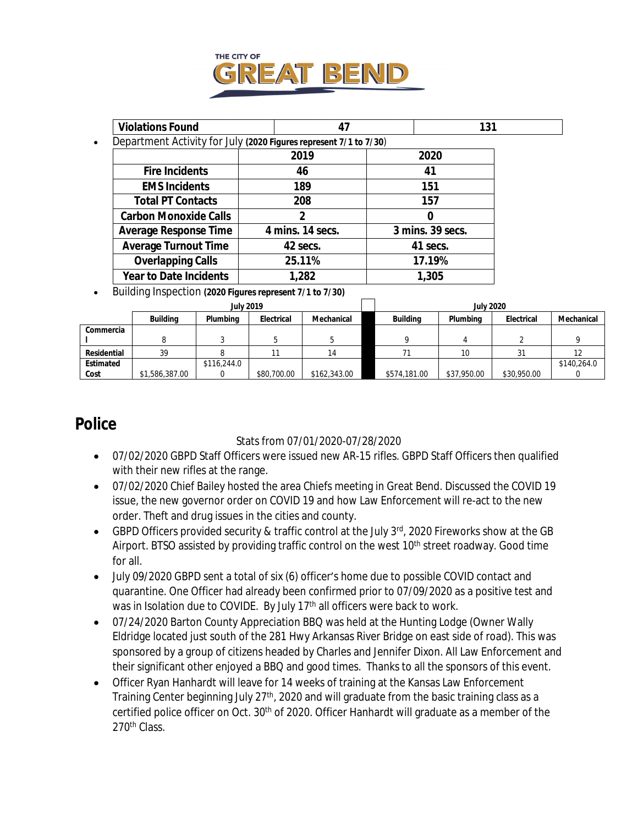

| <b>Violations Found</b>       | 47                                                                | 131              |
|-------------------------------|-------------------------------------------------------------------|------------------|
|                               | Department Activity for July (2020 Figures represent 7/1 to 7/30) |                  |
|                               | 2019                                                              | 2020             |
| <b>Fire Incidents</b>         | 46                                                                | 41               |
| <b>EMS Incidents</b>          | 189                                                               | 151              |
| <b>Total PT Contacts</b>      | 208                                                               | 157              |
| <b>Carbon Monoxide Calls</b>  | 2                                                                 | 0                |
| <b>Average Response Time</b>  | 4 mins. 14 secs.                                                  | 3 mins. 39 secs. |
| <b>Average Turnout Time</b>   | 42 secs.                                                          | 41 secs.         |
| <b>Overlapping Calls</b>      | 25.11%                                                            | 17.19%           |
| <b>Year to Date Incidents</b> | 1,282                                                             | 1,305            |

Building Inspection *(2020 Figures represent 7/1 to 7/30)*

|             |                 | <b>July 2019</b> |             |              | <b>July 2020</b> |             |             |             |  |
|-------------|-----------------|------------------|-------------|--------------|------------------|-------------|-------------|-------------|--|
|             | <b>Building</b> | Plumbing         | Electrical  | Mechanical   | <b>Building</b>  | Plumbing    | Electrical  | Mechanical  |  |
| Commercia   |                 |                  |             |              |                  |             |             |             |  |
|             |                 |                  |             |              |                  |             |             |             |  |
| Residential | 39              |                  |             | 14           |                  |             |             |             |  |
| Estimated   |                 | \$116,244.0      |             |              |                  |             |             | \$140,264.0 |  |
| Cost        | \$1,586,387.00  |                  | \$80,700.00 | \$162,343.00 | \$574,181.00     | \$37,950.00 | \$30,950.00 |             |  |

### **Police**

#### Stats from 07/01/2020-07/28/2020

- 07/02/2020 GBPD Staff Officers were issued new AR-15 rifles. GBPD Staff Officers then qualified with their new rifles at the range.
- 07/02/2020 Chief Bailey hosted the area Chiefs meeting in Great Bend. Discussed the COVID 19 issue, the new governor order on COVID 19 and how Law Enforcement will re-act to the new order. Theft and drug issues in the cities and county.
- GBPD Officers provided security & traffic control at the July 3rd, 2020 Fireworks show at the GB Airport. BTSO assisted by providing traffic control on the west 10<sup>th</sup> street roadway. Good time for all.
- July 09/2020 GBPD sent a total of six (6) officer's home due to possible COVID contact and quarantine. One Officer had already been confirmed prior to 07/09/2020 as a positive test and was in Isolation due to COVIDE. By July 17<sup>th</sup> all officers were back to work.
- 07/24/2020 Barton County Appreciation BBQ was held at the Hunting Lodge (Owner Wally Eldridge located just south of the 281 Hwy Arkansas River Bridge on east side of road). This was sponsored by a group of citizens headed by Charles and Jennifer Dixon. All Law Enforcement and their significant other enjoyed a BBQ and good times. Thanks to all the sponsors of this event.
- Officer Ryan Hanhardt will leave for 14 weeks of training at the Kansas Law Enforcement Training Center beginning July 27<sup>th</sup>, 2020 and will graduate from the basic training class as a certified police officer on Oct. 30<sup>th</sup> of 2020. Officer Hanhardt will graduate as a member of the 270th Class.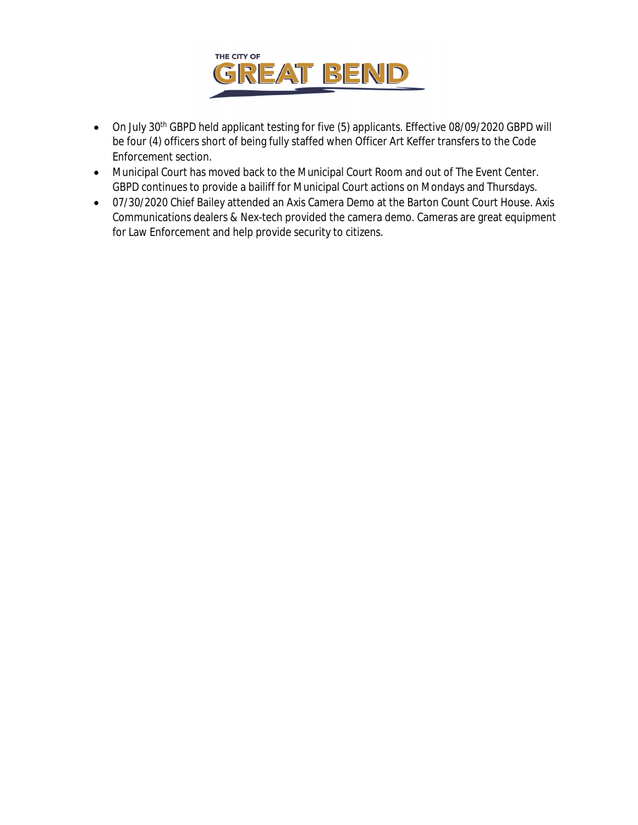

- On July 30th GBPD held applicant testing for five (5) applicants. Effective 08/09/2020 GBPD will be four (4) officers short of being fully staffed when Officer Art Keffer transfers to the Code Enforcement section.
- Municipal Court has moved back to the Municipal Court Room and out of The Event Center. GBPD continues to provide a bailiff for Municipal Court actions on Mondays and Thursdays.
- 07/30/2020 Chief Bailey attended an Axis Camera Demo at the Barton Count Court House. Axis Communications dealers & Nex-tech provided the camera demo. Cameras are great equipment for Law Enforcement and help provide security to citizens.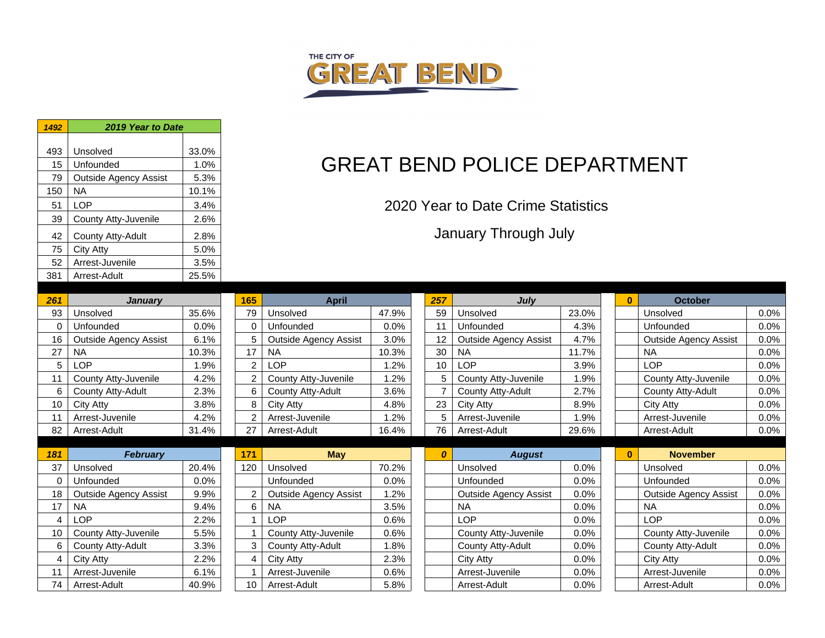

| 1492     | 2019 Year to Date                                |               |                         |
|----------|--------------------------------------------------|---------------|-------------------------|
|          |                                                  |               |                         |
| 493      | Unsolved                                         | 33.0%         |                         |
| 15       | Unfounded                                        | 1.0%          |                         |
| 79       | <b>Outside Agency Assist</b>                     | 5.3%          |                         |
| 150      | <b>NA</b>                                        | 10.1%         |                         |
| 51       | <b>LOP</b>                                       | 3.4%          |                         |
| 39       | County Atty-Juvenile                             | 2.6%          |                         |
| 42       | County Atty-Adult                                | 2.8%          |                         |
| 75       | <b>City Atty</b>                                 | 5.0%          |                         |
| 52       | Arrest-Juvenile                                  | 3.5%          |                         |
| 381      | Arrest-Adult                                     | 25.5%         |                         |
|          |                                                  |               |                         |
| 261      | <b>January</b>                                   |               | 165                     |
| 93       | Unsolved                                         | 35.6%         | 79                      |
| 0        | Unfounded                                        | 0.0%          | 0                       |
| 16       | <b>Outside Agency Assist</b>                     | 6.1%          | 5                       |
| 27       | <b>NA</b>                                        | 10.3%         | 17                      |
| 5        | <b>LOP</b>                                       | 1.9%          | 2                       |
| 11       | County Atty-Juvenile                             | 4.2%          | $\overline{\mathbf{c}}$ |
| 6        | County Atty-Adult                                | 2.3%          | 6                       |
| 10       | <b>City Atty</b>                                 | 3.8%          | 8                       |
| 11       | Arrest-Juvenile                                  | 4.2%          | $\overline{2}$          |
| 82       | Arrest-Adult                                     | 31.4%         | 27                      |
|          |                                                  |               |                         |
| 181      | <b>February</b>                                  |               | 171                     |
| 37       | Unsolved                                         | 20.4%         | 120                     |
| 0        | Unfounded                                        | 0.0%          |                         |
| 18<br>17 | <b>Outside Agency Assist</b><br><b>NA</b>        | 9.9%          | 2<br>6                  |
|          |                                                  | 9.4%          |                         |
| 4        | <b>LOP</b>                                       | 2.2%          | 1<br>1                  |
| 10<br>6  | County Atty-Juvenile<br><b>County Atty-Adult</b> | 5.5%          | 3                       |
| 4        |                                                  | 3.3%          | 4                       |
| 11       | <b>City Atty</b><br>Arrest-Juvenile              | 2.2%          | $\overline{1}$          |
| 74       |                                                  | 6.1%<br>40.9% | 10                      |
|          | Arrest-Adult                                     |               |                         |

# **GREAT BEND POLICE DEPARTMENT**

2020 Year to Date Crime Statistics

January Through July

| 261      | <b>January</b>               |       | 165            | April                        |       | 257 | July                         |       | $\bf{0}$     | <b>October</b>               |      |
|----------|------------------------------|-------|----------------|------------------------------|-------|-----|------------------------------|-------|--------------|------------------------------|------|
| 93       | Unsolved                     | 35.6% | 79             | Unsolved                     | 47.9% | 59  | Unsolved                     | 23.0% |              | Unsolved                     | 0.0% |
| 0        | Unfounded                    | 0.0%  | 0              | Unfounded                    | 0.0%  | 11  | Unfounded                    | 4.3%  |              | Unfounded                    | 0.0% |
| 16       | <b>Outside Agency Assist</b> | 6.1%  | 5              | <b>Outside Agency Assist</b> | 3.0%  | 12  | <b>Outside Agency Assist</b> | 4.7%  |              | <b>Outside Agency Assist</b> | 0.0% |
| 27       | <b>NA</b>                    | 10.3% | 17             | <b>NA</b>                    | 10.3% | 30  | <b>NA</b>                    | 11.7% |              | <b>NA</b>                    | 0.0% |
| 5        | LOP                          | 1.9%  | $\overline{2}$ | LOP                          | 1.2%  | 10  | <b>LOP</b>                   | 3.9%  |              | LOP                          | 0.0% |
| 11       | County Atty-Juvenile         | 4.2%  | 2              | County Atty-Juvenile         | 1.2%  | 5   | County Atty-Juvenile         | 1.9%  |              | County Atty-Juvenile         | 0.0% |
| 6        | County Atty-Adult            | 2.3%  | 6              | County Atty-Adult            | 3.6%  | 7   | County Atty-Adult            | 2.7%  |              | County Atty-Adult            | 0.0% |
| 10       | City Atty                    | 3.8%  | 8              | City Atty                    | 4.8%  | 23  | City Atty                    | 8.9%  |              | City Atty                    | 0.0% |
| 11       | Arrest-Juvenile              | 4.2%  | 2              | Arrest-Juvenile              | 1.2%  | 5   | Arrest-Juvenile              | 1.9%  |              | Arrest-Juvenile              | 0.0% |
| 82       | Arrest-Adult                 | 31.4% | 27             | Arrest-Adult                 | 16.4% | 76  | Arrest-Adult                 | 29.6% |              | Arrest-Adult                 | 0.0% |
|          |                              |       |                |                              |       |     |                              |       |              |                              |      |
|          |                              |       |                |                              |       |     |                              |       |              |                              |      |
| 181      | <b>February</b>              |       | 171            | <b>May</b>                   |       | 0   | <b>August</b>                |       | $\mathbf{0}$ | <b>November</b>              |      |
| 37       | Unsolved                     | 20.4% | 120            | Unsolved                     | 70.2% |     | Unsolved                     | 0.0%  |              | Unsolved                     | 0.0% |
| $\Omega$ | Unfounded                    | 0.0%  |                | Unfounded                    | 0.0%  |     | Unfounded                    | 0.0%  |              | Unfounded                    | 0.0% |
| 18       | <b>Outside Agency Assist</b> | 9.9%  | 2              | <b>Outside Agency Assist</b> | 1.2%  |     | <b>Outside Agency Assist</b> | 0.0%  |              | <b>Outside Agency Assist</b> | 0.0% |
| 17       | <b>NA</b>                    | 9.4%  | 6              | <b>NA</b>                    | 3.5%  |     | <b>NA</b>                    | 0.0%  |              | <b>NA</b>                    | 0.0% |
| 4        | LOP                          | 2.2%  |                | LOP                          | 0.6%  |     | LOP                          | 0.0%  |              | <b>LOP</b>                   | 0.0% |
| 10       | County Atty-Juvenile         | 5.5%  |                | County Atty-Juvenile         | 0.6%  |     | County Atty-Juvenile         | 0.0%  |              | County Atty-Juvenile         | 0.0% |
| 6        | County Atty-Adult            | 3.3%  | 3              | County Atty-Adult            | 1.8%  |     | County Atty-Adult            | 0.0%  |              | County Atty-Adult            | 0.0% |
| 4        | City Atty                    | 2.2%  | 4              | City Atty                    | 2.3%  |     | City Atty                    | 0.0%  |              | City Atty                    | 0.0% |
| 11       | Arrest-Juvenile              | 6.1%  |                | Arrest-Juvenile              | 0.6%  |     | Arrest-Juvenile              | 0.0%  |              | Arrest-Juvenile              | 0.0% |